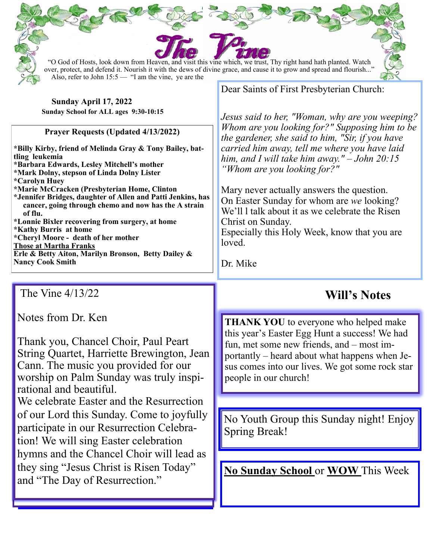| "O God of Hosts, look down from Heaven, and visit this vine which, we trust, Thy right hand hath planted. Watch<br>over, protect, and defend it. Nourish it with the dews of divine grace, and cause it to grow and spread and flourish"<br>Also, refer to John $15:5$ — "I am the vine, ye are the |                                                                                                                                                                                                                                                                         |
|-----------------------------------------------------------------------------------------------------------------------------------------------------------------------------------------------------------------------------------------------------------------------------------------------------|-------------------------------------------------------------------------------------------------------------------------------------------------------------------------------------------------------------------------------------------------------------------------|
| Sunday April 17, 2022                                                                                                                                                                                                                                                                               | Dear Saints of First Presbyterian Church:                                                                                                                                                                                                                               |
| Sunday School for ALL ages 9:30-10:15                                                                                                                                                                                                                                                               | Jesus said to her, "Woman, why are you weeping?                                                                                                                                                                                                                         |
| <b>Prayer Requests (Updated 4/13/2022)</b>                                                                                                                                                                                                                                                          | Whom are you looking for?" Supposing him to be<br>the gardener, she said to him, "Sir, if you have                                                                                                                                                                      |
| *Billy Kirby, friend of Melinda Gray & Tony Bailey, bat-<br>tling leukemia<br>*Barbara Edwards, Lesley Mitchell's mother<br>*Mark Dolny, stepson of Linda Dolny Lister                                                                                                                              | carried him away, tell me where you have laid<br>him, and I will take him away." $-John 20:15$<br>"Whom are you looking for?"                                                                                                                                           |
| <i><b>*Carolyn Huey</b></i><br>*Marie McCracken (Presbyterian Home, Clinton<br>*Jennifer Bridges, daughter of Allen and Patti Jenkins, has<br>cancer, going through chemo and now has the A strain<br>of flu.                                                                                       | Mary never actually answers the question.<br>On Easter Sunday for whom are we looking?<br>We'll I talk about it as we celebrate the Risen                                                                                                                               |
| *Lonnie Bixler recovering from surgery, at home<br>*Kathy Burris at home<br>*Cheryl Moore - death of her mother                                                                                                                                                                                     | Christ on Sunday.<br>Especially this Holy Week, know that you are                                                                                                                                                                                                       |
| <b>Those at Martha Franks</b><br>Erle & Betty Aiton, Marilyn Bronson, Betty Dailey &<br><b>Nancy Cook Smith</b>                                                                                                                                                                                     | loved.                                                                                                                                                                                                                                                                  |
|                                                                                                                                                                                                                                                                                                     | Dr. Mike                                                                                                                                                                                                                                                                |
| The Vine 4/13/22                                                                                                                                                                                                                                                                                    | <b>Will's Notes</b>                                                                                                                                                                                                                                                     |
| Notes from Dr. Ken<br>Thank you, Chancel Choir, Paul Peart<br>String Quartet, Harriette Brewington, Jean<br>Cann. The music you provided for our<br>worship on Palm Sunday was truly inspi-                                                                                                         | <b>THANK YOU</b> to everyone who helped make<br>this year's Easter Egg Hunt a success! We had<br>fun, met some new friends, and – most im-<br>portantly – heard about what happens when Je-<br>sus comes into our lives. We got some rock star<br>people in our church! |
| rational and beautiful.<br>We celebrate Easter and the Resurrection                                                                                                                                                                                                                                 |                                                                                                                                                                                                                                                                         |
| of our Lord this Sunday. Come to joyfully<br>participate in our Resurrection Celebra-<br>tion! We will sing Easter celebration                                                                                                                                                                      | No Youth Group this Sunday night! Enjoy<br><b>Spring Break!</b>                                                                                                                                                                                                         |
| hymns and the Chancel Choir will lead as                                                                                                                                                                                                                                                            |                                                                                                                                                                                                                                                                         |
| they sing "Jesus Christ is Risen Today"<br>and "The Day of Resurrection."                                                                                                                                                                                                                           | <b>No Sunday School or WOW This Week</b>                                                                                                                                                                                                                                |